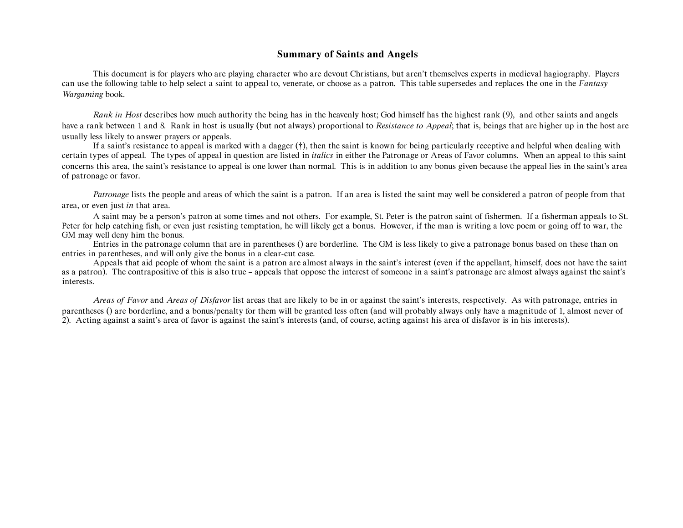## **Summary of Saints and Angels**

This document is for players who are playing character who are devout Christians, but aren't themselves experts in medieval hagiography. Players can use the following table to help select a saint to appeal to, venerate, or choose as a patron. This table supersedes and replaces the one in the *Fantasy Wargaming* book.

*Rank in Host* describes how much authority the being has in the heavenly host; God himself has the highest rank (9), and other saints and angels have a rank between 1 and 8. Rank in host is usually (but not always) proportional to *Resistance to Appeal*; that is, beings that are higher up in the host are usually less likely to answer prayers or appeals.

If a saint's resistance to appeal is marked with a dagger (†), then the saint is known for being particularly receptive and helpful when dealing with certain types of appeal. The types of appeal in question are listed in *italics* in either the Patronage or Areas of Favor columns. When an appeal to this saint concerns this area, the saint's resistance to appeal is one lower than normal. This is in addition to any bonus given because the appeal lies in the saint's area of patronage or favor.

*Patronage* lists the people and areas of which the saint is a patron. If an area is listed the saint may well be considered a patron of people from that area, or even just *in* that area.

A saint may be a person's patron at some times and not others. For example, St. Peter is the patron saint of fishermen. If a fisherman appeals to St. Peter for help catching fish, or even just resisting temptation, he will likely get a bonus. However, if the man is writing a love poem or going off to war, the GM may well deny him the bonus.

Entries in the patronage column that are in parentheses () are borderline. The GM is less likely to give a patronage bonus based on these than on entries in parentheses, and will only give the bonus in a clear-cut case.

Appeals that aid people of whom the saint is a patron are almost always in the saint's interest (even if the appellant, himself, does not have the saint as a patron). The contrapositive of this is also true – appeals that oppose the interest of someone in a saint's patronage are almost always against the saint's interests.

*Areas of Favor* and *Areas of Disfavor* list areas that are likely to be in or against the saint's interests, respectively. As with patronage, entries in parentheses () are borderline, and a bonus/penalty for them will be granted less often (and will probably always only have a magnitude of 1, almost never of 2). Acting against a saint's area of favor is against the saint's interests (and, of course, acting against his area of disfavor is in his interests).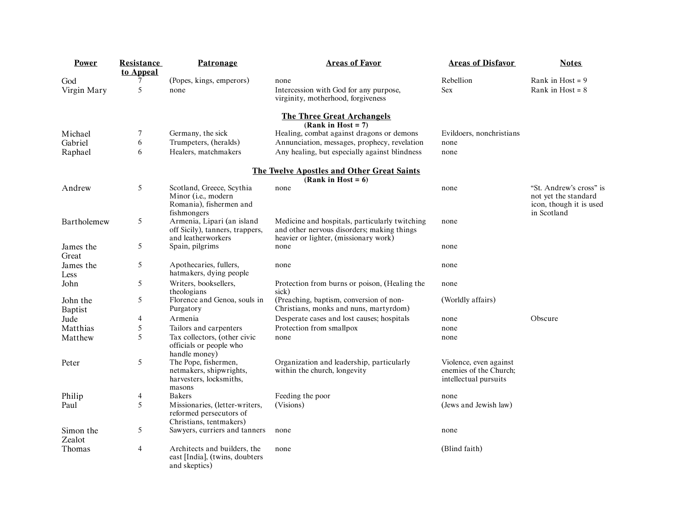| <b>Power</b>        | Resistance<br>to Appeal | Patronage                                                                                  | <b>Areas of Favor</b>                                                                                                                 | <b>Areas of Disfavor</b>                                                  | <b>Notes</b>                                                                              |
|---------------------|-------------------------|--------------------------------------------------------------------------------------------|---------------------------------------------------------------------------------------------------------------------------------------|---------------------------------------------------------------------------|-------------------------------------------------------------------------------------------|
| God                 | 7                       | (Popes, kings, emperors)                                                                   | none                                                                                                                                  | Rebellion                                                                 | Rank in Host = $9$                                                                        |
| Virgin Mary         | 5                       | none                                                                                       | Intercession with God for any purpose,<br>virginity, motherhood, forgiveness                                                          | Sex                                                                       | Rank in Host = $8$                                                                        |
|                     |                         |                                                                                            | <b>The Three Great Archangels</b><br>(Rank in Host = $7$ )                                                                            |                                                                           |                                                                                           |
| Michael             | 7                       | Germany, the sick                                                                          | Healing, combat against dragons or demons                                                                                             | Evildoers, nonchristians                                                  |                                                                                           |
| Gabriel             | 6                       | Trumpeters, (heralds)                                                                      | Annunciation, messages, prophecy, revelation                                                                                          | none                                                                      |                                                                                           |
| Raphael             | 6                       | Healers, matchmakers                                                                       | Any healing, but especially against blindness                                                                                         | none                                                                      |                                                                                           |
|                     |                         |                                                                                            | The Twelve Apostles and Other Great Saints<br>(Rank in Host = $6$ )                                                                   |                                                                           |                                                                                           |
| Andrew              | 5                       | Scotland, Greece, Scythia<br>Minor (i.e., modern<br>Romania), fishermen and<br>fishmongers | none                                                                                                                                  | none                                                                      | "St. Andrew's cross" is<br>not yet the standard<br>icon, though it is used<br>in Scotland |
| Bartholemew         | 5                       | Armenia, Lipari (an island<br>off Sicily), tanners, trappers,<br>and leatherworkers        | Medicine and hospitals, particularly twitching<br>and other nervous disorders; making things<br>heavier or lighter, (missionary work) | none                                                                      |                                                                                           |
| James the<br>Great  | 5                       | Spain, pilgrims                                                                            | none                                                                                                                                  | none                                                                      |                                                                                           |
| James the<br>Less   | 5                       | Apothecaries, fullers,<br>hatmakers, dying people                                          | none                                                                                                                                  | none                                                                      |                                                                                           |
| John                | 5                       | Writers, booksellers,<br>theologians                                                       | Protection from burns or poison, (Healing the<br>sick)                                                                                | none                                                                      |                                                                                           |
| John the<br>Baptist | 5                       | Florence and Genoa, souls in<br>Purgatory                                                  | (Preaching, baptism, conversion of non-<br>Christians, monks and nuns, martyrdom)                                                     | (Worldly affairs)                                                         |                                                                                           |
| Jude                | 4                       | Armenia                                                                                    | Desperate cases and lost causes; hospitals                                                                                            | none                                                                      | Obscure                                                                                   |
| Matthias            | 5                       | Tailors and carpenters                                                                     | Protection from smallpox                                                                                                              | none                                                                      |                                                                                           |
| Matthew             | 5                       | Tax collectors, (other civic<br>officials or people who<br>handle money)                   | none                                                                                                                                  | none                                                                      |                                                                                           |
| Peter               | 5                       | The Pope, fishermen,<br>netmakers, shipwrights,<br>harvesters, locksmiths,<br>masons       | Organization and leadership, particularly<br>within the church, longevity                                                             | Violence, even against<br>enemies of the Church;<br>intellectual pursuits |                                                                                           |
| Philip              | 4                       | <b>Bakers</b>                                                                              | Feeding the poor                                                                                                                      | none                                                                      |                                                                                           |
| Paul                | 5                       | Missionaries, (letter-writers,<br>reformed persecutors of<br>Christians, tentmakers)       | (Visions)                                                                                                                             | (Jews and Jewish law)                                                     |                                                                                           |
| Simon the<br>Zealot | 5                       | Sawyers, curriers and tanners                                                              | none                                                                                                                                  | none                                                                      |                                                                                           |
| Thomas              | $\overline{4}$          | Architects and builders, the<br>east [India], (twins, doubters<br>and skeptics)            | none                                                                                                                                  | (Blind faith)                                                             |                                                                                           |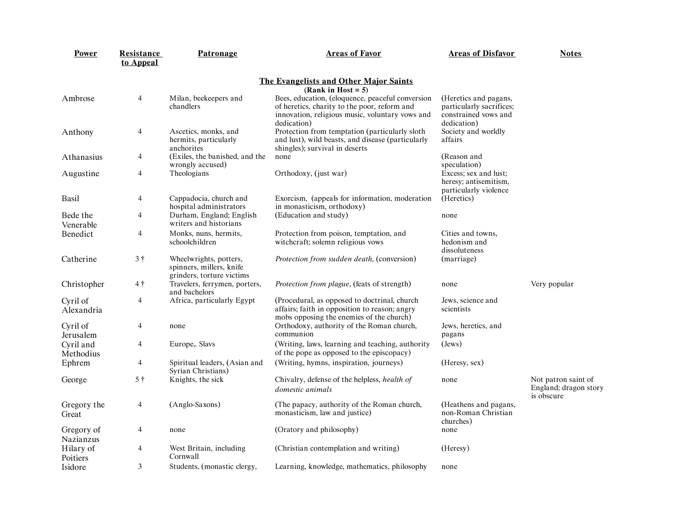| Power                   | <b>Resistance</b><br>to Appeal | Patronage                                                                       | <b>Areas of Favor</b>                                                                                                                                              | <b>Areas of Disfavor</b>                                                                 | <b>Notes</b>                                               |
|-------------------------|--------------------------------|---------------------------------------------------------------------------------|--------------------------------------------------------------------------------------------------------------------------------------------------------------------|------------------------------------------------------------------------------------------|------------------------------------------------------------|
|                         |                                |                                                                                 | The Evangelists and Other Major Saints<br>(Rank in Host = $5$ )                                                                                                    |                                                                                          |                                                            |
| Ambrose                 | $\overline{4}$                 | Milan, beekeepers and<br>chandlers                                              | Bees, education, (eloquence, peaceful conversion<br>of heretics, charity to the poor, reform and<br>innovation, religious music, voluntary vows and<br>dedication) | (Heretics and pagans,<br>particularly sacrifices;<br>constrained vows and<br>dedication) |                                                            |
| Anthony                 | 4                              | Ascetics, monks, and<br>hermits, particularly<br>anchorites                     | Protection from temptation (particularly sloth<br>and lust), wild beasts, and disease (particularly<br>shingles); survival in deserts                              | Society and worldly<br>affairs                                                           |                                                            |
| Athanasius              | 4                              | (Exiles, the banished, and the<br>wrongly accused)                              | none                                                                                                                                                               | (Reason and<br>speculation)                                                              |                                                            |
| Augustine               | 4                              | Theologians                                                                     | Orthodoxy, (just war)                                                                                                                                              | Excess; sex and lust;<br>heresy; antisemitism,<br>particularly violence                  |                                                            |
| Basil                   | 4                              | Cappadocia, church and<br>hospital administrators                               | Exorcism, (appeals for information, moderation<br>in monasticism, orthodoxy)                                                                                       | (Heretics)                                                                               |                                                            |
| Bede the<br>Venerable   | 4                              | Durham, England; English<br>writers and historians                              | (Education and study)                                                                                                                                              | none                                                                                     |                                                            |
| Benedict                | 4                              | Monks, nuns, hermits,<br>schoolchildren                                         | Protection from poison, temptation, and<br>witchcraft; solemn religious vows                                                                                       | Cities and towns,<br>hedonism and<br>dissoluteness                                       |                                                            |
| Catherine               | 3†                             | Wheelwrights, potters,<br>spinners, millers, knife<br>grinders, torture victims | <i>Protection from sudden death, (conversion)</i>                                                                                                                  | (marriage)                                                                               |                                                            |
| Christopher             | $4\dagger$                     | Travelers, ferrymen, porters,<br>and bachelors                                  | <i>Protection from plague, (feats of strength)</i>                                                                                                                 | none                                                                                     | Very popular                                               |
| Cyril of<br>Alexandria  | 4                              | Africa, particularly Egypt                                                      | (Procedural, as opposed to doctrinal, church<br>affairs; faith in opposition to reason; angry<br>mobs opposing the enemies of the church)                          | Jews, science and<br>scientists                                                          |                                                            |
| Cyril of<br>Jerusalem   | 4                              | none                                                                            | Orthodoxy, authority of the Roman church,<br>communion                                                                                                             | Jews, heretics, and<br>pagans                                                            |                                                            |
| Cyril and<br>Methodius  | 4                              | Europe,. Slavs                                                                  | (Writing, laws, learning and teaching, authority<br>of the pope as opposed to the episcopacy)                                                                      | (Jews)                                                                                   |                                                            |
| Ephrem                  | 4                              | Spiritual leaders, (Asian and<br>Syrian Christians)                             | (Writing, hymns, inspiration, journeys)                                                                                                                            | (Heresy, sex)                                                                            |                                                            |
| George                  | 5†                             | Knights, the sick                                                               | Chivalry, defense of the helpless, health of<br>domestic animals                                                                                                   | none                                                                                     | Not patron saint of<br>England; dragon story<br>is obscure |
| Gregory the<br>Great    | 4                              | (Anglo-Saxons)                                                                  | (The papacy, authority of the Roman church,<br>monasticism, law and justice)                                                                                       | (Heathens and pagans,<br>non-Roman Christian<br>churches)                                |                                                            |
| Gregory of<br>Nazianzus | 4                              | none                                                                            | (Oratory and philosophy)                                                                                                                                           | none                                                                                     |                                                            |
| Hilary of<br>Poitiers   | 4                              | West Britain, including<br>Cornwall                                             | (Christian contemplation and writing)                                                                                                                              | (Heresy)                                                                                 |                                                            |
| Isidore                 | 3                              | Students, (monastic clergy,                                                     | Learning, knowledge, mathematics, philosophy                                                                                                                       | none                                                                                     |                                                            |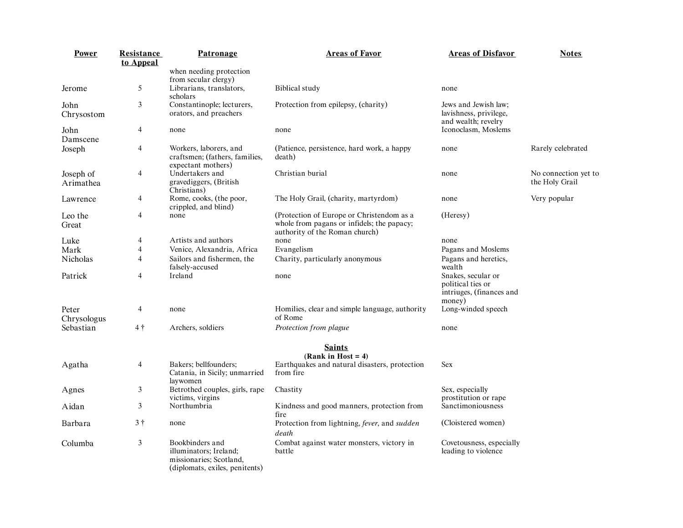| Power                  | <b>Resistance</b><br>to Appeal | Patronage                                                                                              | <b>Areas of Favor</b>                                                                                                     | <b>Areas of Disfavor</b>                                                      | <b>Notes</b>                           |
|------------------------|--------------------------------|--------------------------------------------------------------------------------------------------------|---------------------------------------------------------------------------------------------------------------------------|-------------------------------------------------------------------------------|----------------------------------------|
|                        |                                | when needing protection<br>from secular clergy)                                                        |                                                                                                                           |                                                                               |                                        |
| Jerome                 | 5                              | Librarians, translators,<br>scholars                                                                   | <b>Biblical</b> study                                                                                                     | none                                                                          |                                        |
| John<br>Chrysostom     | 3                              | Constantinople; lecturers,<br>orators, and preachers                                                   | Protection from epilepsy, (charity)                                                                                       | Jews and Jewish law;<br>lavishness, privilege,<br>and wealth; revelry         |                                        |
| John<br>Damscene       | 4                              | none                                                                                                   | none                                                                                                                      | Iconoclasm, Moslems                                                           |                                        |
| Joseph                 | 4                              | Workers, laborers, and<br>craftsmen; (fathers, families,<br>expectant mothers)                         | (Patience, persistence, hard work, a happy<br>death)                                                                      | none                                                                          | Rarely celebrated                      |
| Joseph of<br>Arimathea | 4                              | Undertakers and<br>gravediggers, (British<br>Christians)                                               | Christian burial                                                                                                          | none                                                                          | No connection yet to<br>the Holy Grail |
| Lawrence               | 4                              | Rome, cooks, (the poor,<br>crippled, and blind)                                                        | The Holy Grail, (charity, martyrdom)                                                                                      | none                                                                          | Very popular                           |
| Leo the<br>Great       | 4                              | none                                                                                                   | (Protection of Europe or Christendom as a<br>whole from pagans or infidels; the papacy;<br>authority of the Roman church) | (Heresy)                                                                      |                                        |
| Luke                   | 4                              | Artists and authors                                                                                    | none                                                                                                                      | none                                                                          |                                        |
| Mark                   | 4                              | Venice, Alexandria, Africa                                                                             | Evangelism                                                                                                                | Pagans and Moslems                                                            |                                        |
| Nicholas               | 4                              | Sailors and fishermen, the<br>falsely-accused                                                          | Charity, particularly anonymous                                                                                           | Pagans and heretics,<br>wealth                                                |                                        |
| Patrick                | 4                              | Ireland                                                                                                | none                                                                                                                      | Snakes, secular or<br>political ties or<br>intriuges, (finances and<br>money) |                                        |
| Peter<br>Chrysologus   | 4                              | none                                                                                                   | Homilies, clear and simple language, authority<br>of Rome                                                                 | Long-winded speech                                                            |                                        |
| Sebastian              | 4†                             | Archers, soldiers                                                                                      | Protection from plague                                                                                                    | none                                                                          |                                        |
|                        |                                |                                                                                                        | <b>Saints</b><br>(Rank in Host = $4$ )                                                                                    |                                                                               |                                        |
| Agatha                 | 4                              | Bakers; bellfounders;<br>Catania, in Sicily; unmarried<br>lavwomen                                     | Earthquakes and natural disasters, protection<br>from fire                                                                | Sex                                                                           |                                        |
| Agnes                  | 3                              | Betrothed couples, girls, rape<br>victims, virgins                                                     | Chastity                                                                                                                  | Sex, especially<br>prostitution or rape                                       |                                        |
| Aidan                  | 3                              | Northumbria                                                                                            | Kindness and good manners, protection from<br>fire                                                                        | Sanctimoniousness                                                             |                                        |
| Barbara                | 3†                             | none                                                                                                   | Protection from lightning, fever, and sudden<br>death                                                                     | (Cloistered women)                                                            |                                        |
| Columba                | 3                              | Bookbinders and<br>illuminators; Ireland;<br>missionaries; Scotland,<br>(diplomats, exiles, penitents) | Combat against water monsters, victory in<br>battle                                                                       | Covetousness, especially<br>leading to violence                               |                                        |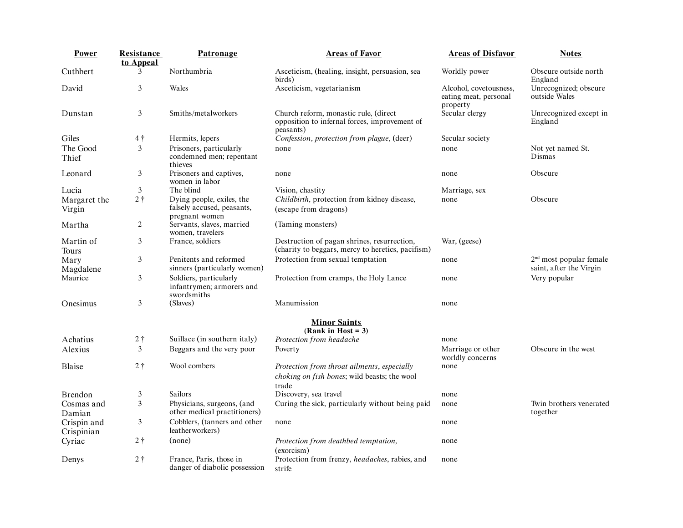| Power                     | Resistance     | Patronage                                                                 | <b>Areas of Favor</b>                                                                                | <b>Areas of Disfavor</b>                                    | <b>Notes</b>                                         |
|---------------------------|----------------|---------------------------------------------------------------------------|------------------------------------------------------------------------------------------------------|-------------------------------------------------------------|------------------------------------------------------|
|                           | to Appeal      |                                                                           |                                                                                                      |                                                             |                                                      |
| Cuthbert                  | 3              | Northumbria                                                               | Asceticism, (healing, insight, persuasion, sea<br>birds)                                             | Worldly power                                               | Obscure outside north<br>England                     |
| David                     | 3              | Wales                                                                     | Asceticism, vegetarianism                                                                            | Alcohol, covetousness,<br>eating meat, personal<br>property | Unrecognized; obscure<br>outside Wales               |
| Dunstan                   | 3              | Smiths/metalworkers                                                       | Church reform, monastic rule, (direct<br>opposition to infernal forces, improvement of<br>peasants)  | Secular clergy                                              | Unrecognized except in<br>England                    |
| Giles                     | $4\dagger$     | Hermits, lepers                                                           | Confession, protection from plague, (deer)                                                           | Secular society                                             |                                                      |
| The Good<br>Thief         | 3              | Prisoners, particularly<br>condemned men; repentant<br>thieves            | none                                                                                                 | none                                                        | Not yet named St.<br>Dismas                          |
| Leonard                   | 3              | Prisoners and captives,<br>women in labor                                 | none                                                                                                 | none                                                        | Obscure                                              |
| Lucia                     | 3              | The blind                                                                 | Vision, chastity                                                                                     | Marriage, sex                                               |                                                      |
| Margaret the<br>Virgin    | 2 <sup>†</sup> | Dying people, exiles, the<br>falsely accused, peasants,<br>pregnant women | Childbirth, protection from kidney disease,<br>(escape from dragons)                                 | none                                                        | Obscure                                              |
| Martha                    | 2              | Servants, slaves, married<br>women, travelers                             | (Taming monsters)                                                                                    |                                                             |                                                      |
| Martin of<br>Tours        | 3              | France, soldiers                                                          | Destruction of pagan shrines, resurrection,<br>(charity to beggars, mercy to heretics, pacifism)     | War, (geese)                                                |                                                      |
| Mary<br>Magdalene         | 3              | Penitents and reformed<br>sinners (particularly women)                    | Protection from sexual temptation                                                                    | none                                                        | $2nd$ most popular female<br>saint, after the Virgin |
| Maurice                   | 3              | Soldiers, particularly<br>infantrymen; armorers and<br>swordsmiths        | Protection from cramps, the Holy Lance                                                               | none                                                        | Very popular                                         |
| Onesimus                  | 3              | (Slaves)                                                                  | Manumission                                                                                          | none                                                        |                                                      |
|                           |                |                                                                           | <b>Minor Saints</b><br>$(Rank in Host = 3)$                                                          |                                                             |                                                      |
| Achatius                  | 2 <sub>1</sub> | Suillace (in southern italy)                                              | Protection from headache                                                                             | none                                                        |                                                      |
| Alexius                   | 3              | Beggars and the very poor                                                 | Poverty                                                                                              | Marriage or other<br>worldly concerns                       | Obscure in the west                                  |
| Blaise                    | 2 <sub>1</sub> | Wool combers                                                              | Protection from throat ailments, especially<br>choking on fish bones; wild beasts; the wool<br>trade | none                                                        |                                                      |
| Brendon                   | 3              | Sailors                                                                   | Discovery, sea travel                                                                                | none                                                        |                                                      |
| Cosmas and<br>Damian      | 3              | Physicians, surgeons, (and<br>other medical practitioners)                | Curing the sick, particularly without being paid                                                     | none                                                        | Twin brothers venerated<br>together                  |
| Crispin and<br>Crispinian | 3              | Cobblers, (tanners and other<br>leatherworkers)                           | none                                                                                                 | none                                                        |                                                      |
| Cyriac                    | $2+$           | (none)                                                                    | Protection from deathbed temptation,<br>(exorcism)                                                   | none                                                        |                                                      |
| Denys                     | $2+$           | France, Paris, those in<br>danger of diabolic possession                  | Protection from frenzy, headaches, rabies, and<br>strife                                             | none                                                        |                                                      |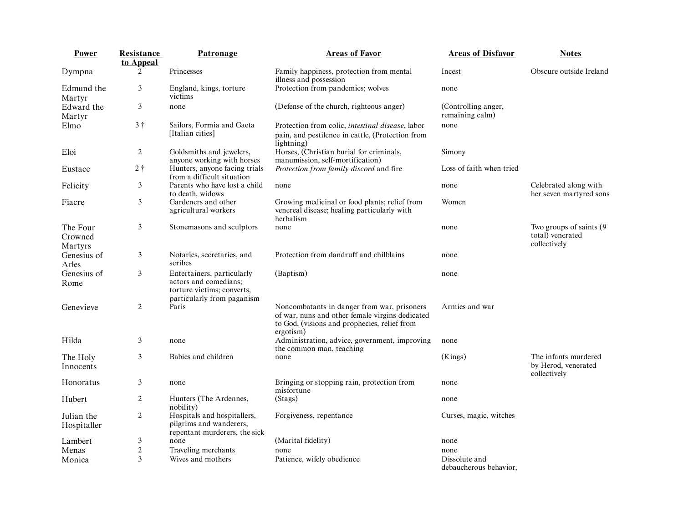| Power                          | Resistance<br>to Appeal | Patronage                                                                                                       | <b>Areas of Favor</b>                                                                                                                                       | <b>Areas of Disfavor</b>                | <b>Notes</b>                                                 |
|--------------------------------|-------------------------|-----------------------------------------------------------------------------------------------------------------|-------------------------------------------------------------------------------------------------------------------------------------------------------------|-----------------------------------------|--------------------------------------------------------------|
| Dympna                         | 2                       | Princesses                                                                                                      | Family happiness, protection from mental<br>illness and possession                                                                                          | Incest                                  | Obscure outside Ireland                                      |
| Edmund the<br>Martyr           | 3                       | England, kings, torture<br>victims                                                                              | Protection from pandemics; wolves                                                                                                                           | none                                    |                                                              |
| Edward the<br>Martyr           | 3                       | none                                                                                                            | (Defense of the church, righteous anger)                                                                                                                    | (Controlling anger,<br>remaining calm)  |                                                              |
| Elmo                           | 3 <sup>†</sup>          | Sailors, Formia and Gaeta<br>[Italian cities]                                                                   | Protection from colic, <i>intestinal disease</i> , labor<br>pain, and pestilence in cattle, (Protection from<br>lightning)                                  | none                                    |                                                              |
| Eloi                           | 2                       | Goldsmiths and jewelers,<br>anyone working with horses                                                          | Horses, (Christian burial for criminals,<br>manumission, self-mortification)                                                                                | Simony                                  |                                                              |
| Eustace                        | 2 <sup>†</sup>          | Hunters, anyone facing trials<br>from a difficult situation                                                     | Protection from family discord and fire                                                                                                                     | Loss of faith when tried                |                                                              |
| Felicity                       | 3                       | Parents who have lost a child<br>to death, widows                                                               | none                                                                                                                                                        | none                                    | Celebrated along with<br>her seven martyred sons             |
| Fiacre                         | 3                       | Gardeners and other<br>agricultural workers                                                                     | Growing medicinal or food plants; relief from<br>venereal disease; healing particularly with<br>herbalism                                                   | Women                                   |                                                              |
| The Four<br>Crowned<br>Martyrs | 3                       | Stonemasons and sculptors                                                                                       | none                                                                                                                                                        | none                                    | Two groups of saints (9)<br>total) venerated<br>collectively |
| Genesius of<br>Arles           | 3                       | Notaries, secretaries, and<br>scribes                                                                           | Protection from dandruff and chilblains                                                                                                                     | none                                    |                                                              |
| Genesius of<br>Rome            | 3                       | Entertainers, particularly<br>actors and comedians;<br>torture victims; converts,<br>particularly from paganism | (Baptism)                                                                                                                                                   | none                                    |                                                              |
| Genevieve                      | 2                       | Paris                                                                                                           | Noncombatants in danger from war, prisoners<br>of war, nuns and other female virgins dedicated<br>to God, (visions and prophecies, relief from<br>ergotism) | Armies and war                          |                                                              |
| Hilda                          | 3                       | none                                                                                                            | Administration, advice, government, improving<br>the common man, teaching                                                                                   | none                                    |                                                              |
| The Holy<br>Innocents          | 3                       | Babies and children                                                                                             | none                                                                                                                                                        | (Kings)                                 | The infants murdered<br>by Herod, venerated<br>collectively  |
| Honoratus                      | 3                       | none                                                                                                            | Bringing or stopping rain, protection from<br>misfortune                                                                                                    | none                                    |                                                              |
| Hubert                         | 2                       | Hunters (The Ardennes,<br>nobility)                                                                             | (Stags)                                                                                                                                                     | none                                    |                                                              |
| Julian the<br>Hospitaller      | $\overline{c}$          | Hospitals and hospitallers,<br>pilgrims and wanderers,<br>repentant murderers, the sick                         | Forgiveness, repentance                                                                                                                                     | Curses, magic, witches                  |                                                              |
| Lambert                        | 3                       | none                                                                                                            | (Marital fidelity)                                                                                                                                          | none                                    |                                                              |
| Menas                          | $\boldsymbol{2}$        | Traveling merchants                                                                                             | none                                                                                                                                                        | none                                    |                                                              |
| Monica                         | 3                       | Wives and mothers                                                                                               | Patience, wifely obedience                                                                                                                                  | Dissolute and<br>debaucherous behavior, |                                                              |